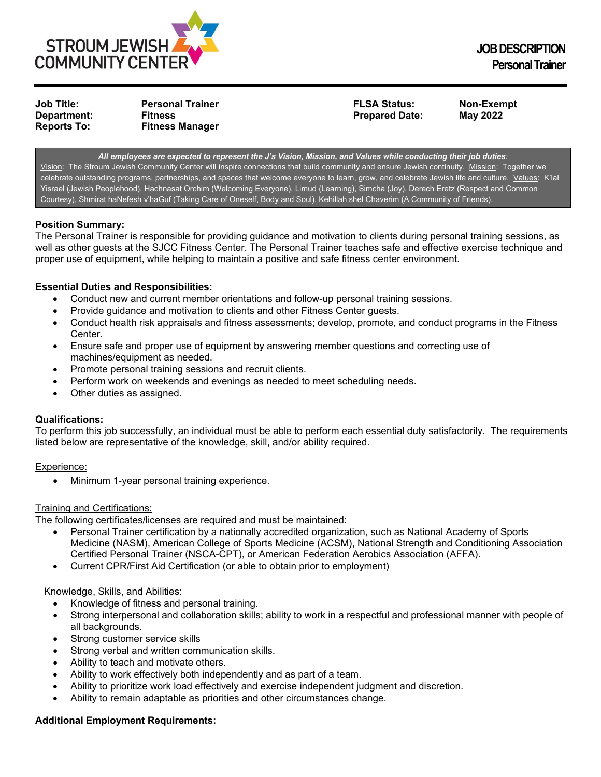

**Job Title: Personal Trainer FLSA Status: Non-Exempt Reports To: Fitness Manager**

**Prepared Date:** 

*All employees are expected to represent the J's Vision, Mission, and Values while conducting their job duties:* Vision: The Stroum Jewish Community Center will inspire connections that build community and ensure Jewish continuity. Mission: Together we celebrate outstanding programs, partnerships, and spaces that welcome everyone to learn, grow, and celebrate Jewish life and culture. Values: K'lal Yisrael (Jewish Peoplehood), Hachnasat Orchim (Welcoming Everyone), Limud (Learning), Simcha (Joy), Derech Eretz (Respect and Common Courtesy), Shmirat haNefesh v'haGuf (Taking Care of Oneself, Body and Soul), Kehillah shel Chaverim (A Community of Friends).

# **Position Summary:**

The Personal Trainer is responsible for providing guidance and motivation to clients during personal training sessions, as well as other guests at the SJCC Fitness Center. The Personal Trainer teaches safe and effective exercise technique and proper use of equipment, while helping to maintain a positive and safe fitness center environment.

# **Essential Duties and Responsibilities:**

- Conduct new and current member orientations and follow-up personal training sessions.
- Provide guidance and motivation to clients and other Fitness Center guests.
- Conduct health risk appraisals and fitness assessments; develop, promote, and conduct programs in the Fitness Center.
- Ensure safe and proper use of equipment by answering member questions and correcting use of machines/equipment as needed.
- Promote personal training sessions and recruit clients.
- Perform work on weekends and evenings as needed to meet scheduling needs.
- Other duties as assigned.

## **Qualifications:**

To perform this job successfully, an individual must be able to perform each essential duty satisfactorily. The requirements listed below are representative of the knowledge, skill, and/or ability required.

## Experience:

• Minimum 1-year personal training experience.

#### Training and Certifications:

The following certificates/licenses are required and must be maintained:

- Personal Trainer certification by a nationally accredited organization, such as National Academy of Sports Medicine (NASM), American College of Sports Medicine (ACSM), National Strength and Conditioning Association Certified Personal Trainer (NSCA-CPT), or American Federation Aerobics Association (AFFA).
- Current CPR/First Aid Certification (or able to obtain prior to employment)

#### Knowledge, Skills, and Abilities:

- Knowledge of fitness and personal training.
- Strong interpersonal and collaboration skills; ability to work in a respectful and professional manner with people of all backgrounds.
- Strong customer service skills
- Strong verbal and written communication skills.
- Ability to teach and motivate others.
- Ability to work effectively both independently and as part of a team.
- Ability to prioritize work load effectively and exercise independent judgment and discretion.
- Ability to remain adaptable as priorities and other circumstances change.

# **Additional Employment Requirements:**